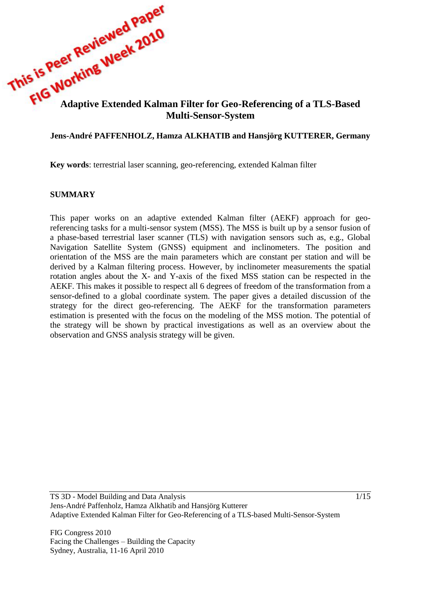

### **Jens-André PAFFENHOLZ, Hamza ALKHATIB and Hansjörg KUTTERER, Germany**

**Key words**: terrestrial laser scanning, geo-referencing, extended Kalman filter

#### **SUMMARY**

This paper works on an adaptive extended Kalman filter (AEKF) approach for georeferencing tasks for a multi-sensor system (MSS). The MSS is built up by a sensor fusion of a phase-based terrestrial laser scanner (TLS) with navigation sensors such as, e.g., Global Navigation Satellite System (GNSS) equipment and inclinometers. The position and orientation of the MSS are the main parameters which are constant per station and will be derived by a Kalman filtering process. However, by inclinometer measurements the spatial rotation angles about the X- and Y-axis of the fixed MSS station can be respected in the AEKF. This makes it possible to respect all 6 degrees of freedom of the transformation from a sensor-defined to a global coordinate system. The paper gives a detailed discussion of the strategy for the direct geo-referencing. The AEKF for the transformation parameters estimation is presented with the focus on the modeling of the MSS motion. The potential of the strategy will be shown by practical investigations as well as an overview about the observation and GNSS analysis strategy will be given.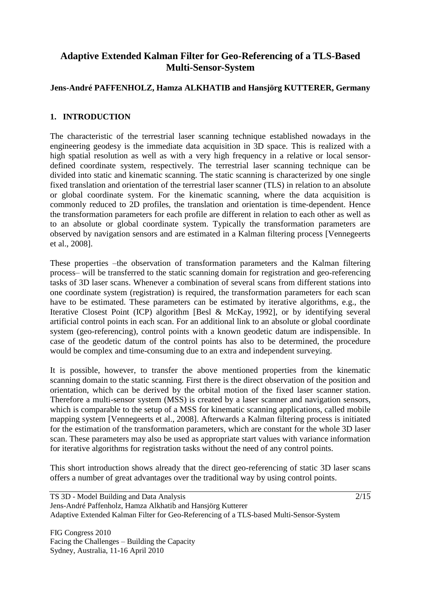# **Adaptive Extended Kalman Filter for Geo-Referencing of a TLS-Based Multi-Sensor-System**

## **Jens-André PAFFENHOLZ, Hamza ALKHATIB and Hansjörg KUTTERER, Germany**

### <span id="page-1-0"></span>**1. INTRODUCTION**

The characteristic of the terrestrial laser scanning technique established nowadays in the engineering geodesy is the immediate data acquisition in 3D space. This is realized with a high spatial resolution as well as with a very high frequency in a relative or local sensordefined coordinate system, respectively. The terrestrial laser scanning technique can be divided into static and kinematic scanning. The static scanning is characterized by one single fixed translation and orientation of the terrestrial laser scanner (TLS) in relation to an absolute or global coordinate system. For the kinematic scanning, where the data acquisition is commonly reduced to 2D profiles, the translation and orientation is time-dependent. Hence the transformation parameters for each profile are different in relation to each other as well as to an absolute or global coordinate system. Typically the transformation parameters are observed by navigation sensors and are estimated in a Kalman filtering process [Vennegeerts et al., 2008].

These properties –the observation of transformation parameters and the Kalman filtering process– will be transferred to the static scanning domain for registration and geo-referencing tasks of 3D laser scans. Whenever a combination of several scans from different stations into one coordinate system (registration) is required, the transformation parameters for each scan have to be estimated. These parameters can be estimated by iterative algorithms, e.g., the Iterative Closest Point (ICP) algorithm [Besl & McKay, 1992], or by identifying several artificial control points in each scan. For an additional link to an absolute or global coordinate system (geo-referencing), control points with a known geodetic datum are indispensible. In case of the geodetic datum of the control points has also to be determined, the procedure would be complex and time-consuming due to an extra and independent surveying.

It is possible, however, to transfer the above mentioned properties from the kinematic scanning domain to the static scanning. First there is the direct observation of the position and orientation, which can be derived by the orbital motion of the fixed laser scanner station. Therefore a multi-sensor system (MSS) is created by a laser scanner and navigation sensors, which is comparable to the setup of a MSS for kinematic scanning applications, called mobile mapping system [Vennegeerts et al., 2008]. Afterwards a Kalman filtering process is initiated for the estimation of the transformation parameters, which are constant for the whole 3D laser scan. These parameters may also be used as appropriate start values with variance information for iterative algorithms for registration tasks without the need of any control points.

This short introduction shows already that the direct geo-referencing of static 3D laser scans offers a number of great advantages over the traditional way by using control points.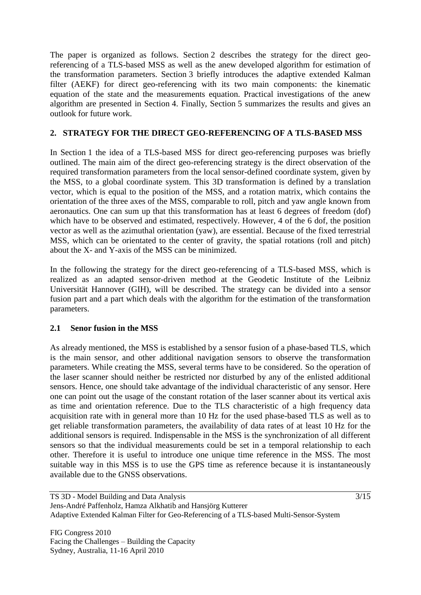The paper is organized as follows. Section [2](#page-2-0) describes the strategy for the direct georeferencing of a TLS-based MSS as well as the anew developed algorithm for estimation of the transformation parameters. Section [3](#page-7-0) briefly introduces the adaptive extended Kalman filter (AEKF) for direct geo-referencing with its two main components: the kinematic equation of the state and the measurements equation. Practical investigations of the anew algorithm are presented in Section [4.](#page-10-0) Finally, Section [5](#page-13-0) summarizes the results and gives an outlook for future work.

## <span id="page-2-0"></span>**2. STRATEGY FOR THE DIRECT GEO-REFERENCING OF A TLS-BASED MSS**

In Section [1](#page-1-0) the idea of a TLS-based MSS for direct geo-referencing purposes was briefly outlined. The main aim of the direct geo-referencing strategy is the direct observation of the required transformation parameters from the local sensor-defined coordinate system, given by the MSS, to a global coordinate system. This 3D transformation is defined by a translation vector, which is equal to the position of the MSS, and a rotation matrix, which contains the orientation of the three axes of the MSS, comparable to roll, pitch and yaw angle known from aeronautics. One can sum up that this transformation has at least 6 degrees of freedom (dof) which have to be observed and estimated, respectively. However, 4 of the 6 dof, the position vector as well as the azimuthal orientation (yaw), are essential. Because of the fixed terrestrial MSS, which can be orientated to the center of gravity, the spatial rotations (roll and pitch) about the X- and Y-axis of the MSS can be minimized.

In the following the strategy for the direct geo-referencing of a TLS-based MSS, which is realized as an adapted sensor-driven method at the Geodetic Institute of the Leibniz Universität Hannover (GIH), will be described. The strategy can be divided into a sensor fusion part and a part which deals with the algorithm for the estimation of the transformation parameters.

### <span id="page-2-1"></span>**2.1 Senor fusion in the MSS**

As already mentioned, the MSS is established by a sensor fusion of a phase-based TLS, which is the main sensor, and other additional navigation sensors to observe the transformation parameters. While creating the MSS, several terms have to be considered. So the operation of the laser scanner should neither be restricted nor disturbed by any of the enlisted additional sensors. Hence, one should take advantage of the individual characteristic of any sensor. Here one can point out the usage of the constant rotation of the laser scanner about its vertical axis as time and orientation reference. Due to the TLS characteristic of a high frequency data acquisition rate with in general more than 10 Hz for the used phase-based TLS as well as to get reliable transformation parameters, the availability of data rates of at least 10 Hz for the additional sensors is required. Indispensable in the MSS is the synchronization of all different sensors so that the individual measurements could be set in a temporal relationship to each other. Therefore it is useful to introduce one unique time reference in the MSS. The most suitable way in this MSS is to use the GPS time as reference because it is instantaneously available due to the GNSS observations.

3/15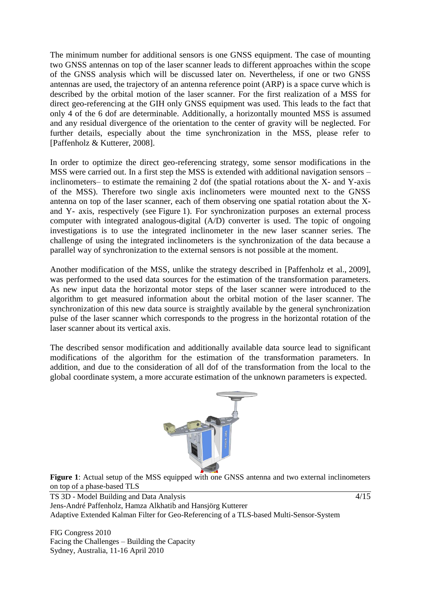The minimum number for additional sensors is one GNSS equipment. The case of mounting two GNSS antennas on top of the laser scanner leads to different approaches within the scope of the GNSS analysis which will be discussed later on. Nevertheless, if one or two GNSS antennas are used, the trajectory of an antenna reference point (ARP) is a space curve which is described by the orbital motion of the laser scanner. For the first realization of a MSS for direct geo-referencing at the GIH only GNSS equipment was used. This leads to the fact that only 4 of the 6 dof are determinable. Additionally, a horizontally mounted MSS is assumed and any residual divergence of the orientation to the center of gravity will be neglected. For further details, especially about the time synchronization in the MSS, please refer to [Paffenholz & Kutterer, 2008].

In order to optimize the direct geo-referencing strategy, some sensor modifications in the MSS were carried out. In a first step the MSS is extended with additional navigation sensors – inclinometers– to estimate the remaining 2 dof (the spatial rotations about the X- and Y-axis of the MSS). Therefore two single axis inclinometers were mounted next to the GNSS antenna on top of the laser scanner, each of them observing one spatial rotation about the Xand Y- axis, respectively (see Figure 1). For synchronization purposes an external process computer with integrated analogous-digital (A/D) converter is used. The topic of ongoing investigations is to use the integrated inclinometer in the new laser scanner series. The challenge of using the integrated inclinometers is the synchronization of the data because a parallel way of synchronization to the external sensors is not possible at the moment.

Another modification of the MSS, unlike the strategy described in [Paffenholz et al., 2009], was performed to the used data sources for the estimation of the transformation parameters. As new input data the horizontal motor steps of the laser scanner were introduced to the algorithm to get measured information about the orbital motion of the laser scanner. The synchronization of this new data source is straightly available by the general synchronization pulse of the laser scanner which corresponds to the progress in the horizontal rotation of the laser scanner about its vertical axis.

The described sensor modification and additionally available data source lead to significant modifications of the algorithm for the estimation of the transformation parameters. In addition, and due to the consideration of all dof of the transformation from the local to the global coordinate system, a more accurate estimation of the unknown parameters is expected.



**Figure 1**: Actual setup of the MSS equipped with one GNSS antenna and two external inclinometers on top of a phase-based TLS

<span id="page-3-0"></span>TS 3D - Model Building and Data Analysis Jens-André Paffenholz, Hamza Alkhatib and Hansjörg Kutterer Adaptive Extended Kalman Filter for Geo-Referencing of a TLS-based Multi-Sensor-System

FIG Congress 2010 Facing the Challenges – Building the Capacity Sydney, Australia, 11-16 April 2010

4/15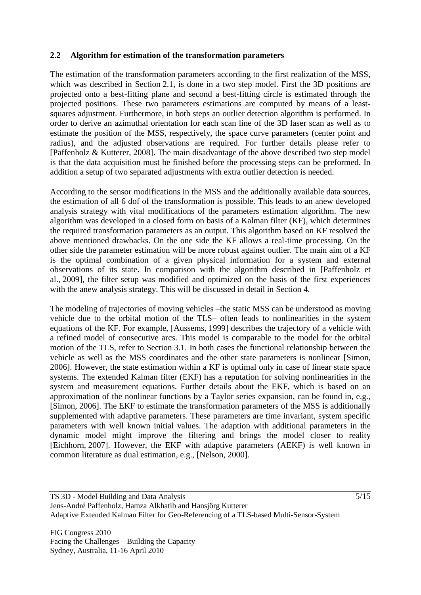### **2.2 Algorithm for estimation of the transformation parameters**

The estimation of the transformation parameters according to the first realization of the MSS, which was described in Section [2.1,](#page-2-1) is done in a two step model. First the 3D positions are projected onto a best-fitting plane and second a best-fitting circle is estimated through the projected positions. These two parameters estimations are computed by means of a leastsquares adjustment. Furthermore, in both steps an outlier detection algorithm is performed. In order to derive an azimuthal orientation for each scan line of the 3D laser scan as well as to estimate the position of the MSS, respectively, the space curve parameters (center point and radius), and the adjusted observations are required. For further details please refer to [Paffenholz & Kutterer, 2008]. The main disadvantage of the above described two step model is that the data acquisition must be finished before the processing steps can be preformed. In addition a setup of two separated adjustments with extra outlier detection is needed.

According to the sensor modifications in the MSS and the additionally available data sources, the estimation of all 6 dof of the transformation is possible. This leads to an anew developed analysis strategy with vital modifications of the parameters estimation algorithm. The new algorithm was developed in a closed form on basis of a Kalman filter (KF), which determines the required transformation parameters as an output. This algorithm based on KF resolved the above mentioned drawbacks. On the one side the KF allows a real-time processing. On the other side the parameter estimation will be more robust against outlier. The main aim of a KF is the optimal combination of a given physical information for a system and external observations of its state. In comparison with the algorithm described in [Paffenholz et al., 2009], the filter setup was modified and optimized on the basis of the first experiences with the anew analysis strategy. This will be discussed in detail in Section [4.](#page-10-0)

The modeling of trajectories of moving vehicles –the static MSS can be understood as moving vehicle due to the orbital motion of the TLS– often leads to nonlinearities in the system equations of the KF. For example, [Aussems, 1999] describes the trajectory of a vehicle with a refined model of consecutive arcs. This model is comparable to the model for the orbital motion of the TLS, refer to Section [3.1.](#page-7-1) In both cases the functional relationship between the vehicle as well as the MSS coordinates and the other state parameters is nonlinear [Simon, 2006]. However, the state estimation within a KF is optimal only in case of linear state space systems. The extended Kalman filter (EKF) has a reputation for solving nonlinearities in the system and measurement equations. Further details about the EKF, which is based on an approximation of the nonlinear functions by a Taylor series expansion, can be found in, e.g., [Simon, 2006]. The EKF to estimate the transformation parameters of the MSS is additionally supplemented with adaptive parameters. These parameters are time invariant, system specific parameters with well known initial values. The adaption with additional parameters in the dynamic model might improve the filtering and brings the model closer to reality [Eichhorn, 2007]. However, the EKF with adaptive parameters (AEKF) is well known in common literature as dual estimation, e.g., [Nelson, 2000].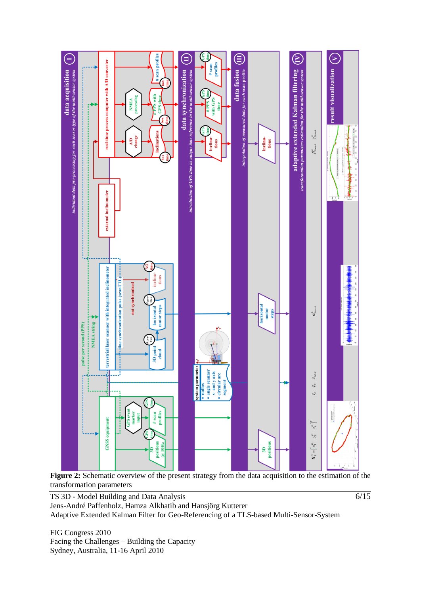

Figure 2: Schematic overview of the present strategy from the data acquisition to the estimation of the transformation parameters

 $\sqrt{6/15}$ 

TS 3D - Model Building and Data Analysis Jens-André Paffenholz, Hamza Alkhatib and Hansjörg Kutterer Adaptive Extended Kalman Filter for Geo-Referencing of a TLS-based Multi-Sensor-System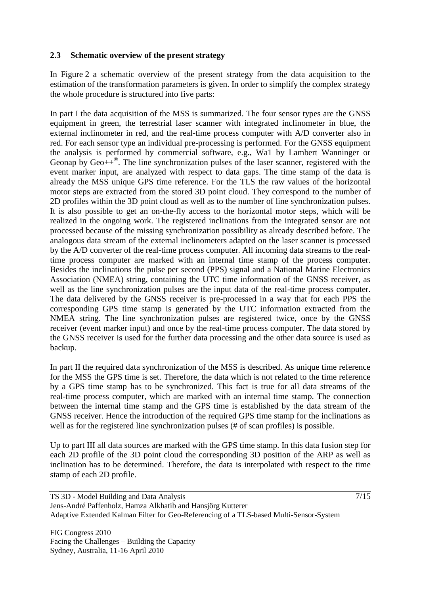### <span id="page-6-0"></span>**2.3 Schematic overview of the present strategy**

In Figure 2 a schematic overview of the present strategy from the data acquisition to the estimation of the transformation parameters is given. In order to simplify the complex strategy the whole procedure is structured into five parts:

In part I the data acquisition of the MSS is summarized. The four sensor types are the GNSS equipment in green, the terrestrial laser scanner with integrated inclinometer in blue, the external inclinometer in red, and the real-time process computer with A/D converter also in red. For each sensor type an individual pre-processing is performed. For the GNSS equipment the analysis is performed by commercial software, e.g., Wa1 by Lambert Wanninger or Geonap by  $\text{Geo}_{++}^{\circledast}$ . The line synchronization pulses of the laser scanner, registered with the event marker input, are analyzed with respect to data gaps. The time stamp of the data is already the MSS unique GPS time reference. For the TLS the raw values of the horizontal motor steps are extracted from the stored 3D point cloud. They correspond to the number of 2D profiles within the 3D point cloud as well as to the number of line synchronization pulses. It is also possible to get an on-the-fly access to the horizontal motor steps, which will be realized in the ongoing work. The registered inclinations from the integrated sensor are not processed because of the missing synchronization possibility as already described before. The analogous data stream of the external inclinometers adapted on the laser scanner is processed by the A/D converter of the real-time process computer. All incoming data streams to the realtime process computer are marked with an internal time stamp of the process computer. Besides the inclinations the pulse per second (PPS) signal and a National Marine Electronics Association (NMEA) string, containing the UTC time information of the GNSS receiver, as well as the line synchronization pulses are the input data of the real-time process computer. The data delivered by the GNSS receiver is pre-processed in a way that for each PPS the corresponding GPS time stamp is generated by the UTC information extracted from the NMEA string. The line synchronization pulses are registered twice, once by the GNSS receiver (event marker input) and once by the real-time process computer. The data stored by the GNSS receiver is used for the further data processing and the other data source is used as backup.

In part II the required data synchronization of the MSS is described. As unique time reference for the MSS the GPS time is set. Therefore, the data which is not related to the time reference by a GPS time stamp has to be synchronized. This fact is true for all data streams of the real-time process computer, which are marked with an internal time stamp. The connection between the internal time stamp and the GPS time is established by the data stream of the GNSS receiver. Hence the introduction of the required GPS time stamp for the inclinations as well as for the registered line synchronization pulses (# of scan profiles) is possible.

Up to part III all data sources are marked with the GPS time stamp. In this data fusion step for each 2D profile of the 3D point cloud the corresponding 3D position of the ARP as well as inclination has to be determined. Therefore, the data is interpolated with respect to the time stamp of each 2D profile.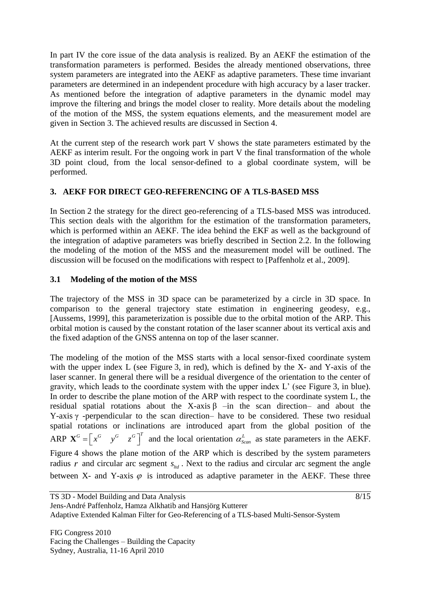In part IV the core issue of the data analysis is realized. By an AEKF the estimation of the transformation parameters is performed. Besides the already mentioned observations, three system parameters are integrated into the AEKF as adaptive parameters. These time invariant parameters are determined in an independent procedure with high accuracy by a laser tracker. As mentioned before the integration of adaptive parameters in the dynamic model may improve the filtering and brings the model closer to reality. More details about the modeling of the motion of the MSS, the system equations elements, and the measurement model are given in Section [3.](#page-7-0) The achieved results are discussed in Section [4.](#page-10-0)

At the current step of the research work part V shows the state parameters estimated by the AEKF as interim result. For the ongoing work in part V the final transformation of the whole 3D point cloud, from the local sensor-defined to a global coordinate system, will be performed.

## <span id="page-7-0"></span>**3. AEKF FOR DIRECT GEO-REFERENCING OF A TLS-BASED MSS**

In Section [2](#page-2-0) the strategy for the direct geo-referencing of a TLS-based MSS was introduced. This section deals with the algorithm for the estimation of the transformation parameters, which is performed within an AEKF. The idea behind the EKF as well as the background of the integration of adaptive parameters was briefly described in Section [2.2.](#page-3-0) In the following the modeling of the motion of the MSS and the measurement model will be outlined. The discussion will be focused on the modifications with respect to [Paffenholz et al., 2009].

## <span id="page-7-1"></span>**3.1 Modeling of the motion of the MSS**

The trajectory of the MSS in 3D space can be parameterized by a circle in 3D space. In comparison to the general trajectory state estimation in engineering geodesy, e.g., [Aussems, 1999], this parameterization is possible due to the orbital motion of the ARP. This orbital motion is caused by the constant rotation of the laser scanner about its vertical axis and the fixed adaption of the GNSS antenna on top of the laser scanner.

The modeling of the motion of the MSS starts with a local sensor-fixed coordinate system with the upper index L (see Figure 3, in red), which is defined by the X- and Y-axis of the laser scanner. In general there will be a residual divergence of the orientation to the center of gravity, which leads to the coordinate system with the upper index L' (see Figure 3, in blue). In order to describe the plane motion of the ARP with respect to the coordinate system L, the residual spatial rotations about the X-axis β –in the scan direction– and about the Y-axis  $\gamma$  -perpendicular to the scan direction– have to be considered. These two residual spatial rotations or inclinations are introduced apart from the global position of the ARP  $\mathbf{X}^G = \begin{bmatrix} x^G & y^G & z^G \end{bmatrix}^T$  and the local orientation  $\alpha_{\text{Scan}}^L$  as state parameters in the AEKF. Figure 4 shows the plane motion of the ARP which is described by the system parameters radius  $r$  and circular arc segment  $s_{t_{td}}$ . Next to the radius and circular arc segment the angle between X- and Y-axis  $\varphi$  is introduced as adaptive parameter in the AEKF. These three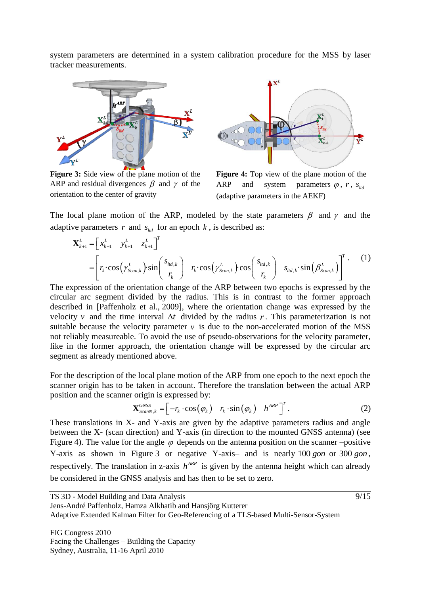system parameters are determined in a system calibration procedure for the MSS by laser tracker measurements.



**Figure 3:** Side view of the plane motion of the ARP and residual divergences  $\beta$  and  $\gamma$  of the orientation to the center of gravity



**Figure 4:** Top view of the plane motion of the ARP and system parameters  $\varphi$ ,  $r$ ,  $s_{\text{t}d}$ (adaptive parameters in the AEKF)

The local plane motion of the ARP, modeled by the state parameters  $\beta$  and  $\gamma$  and the adaptive parameters  $r$  and  $s_{ld}$  for an epoch  $k$ , is described as:<br>  $\mathbf{X}_{k+1}^{L} = \begin{bmatrix} x_{k+1}^{L} & y_{k+1}^{L} & z_{k+1}^{L} \end{bmatrix}^{T}$ parameters *r* and *s*<sub> $\sum_{k+1}^{L} = \begin{bmatrix} x_{k+1}^{L} & y_{k+1}^{L} & z_{k+1}^{L} \end{bmatrix}$ </sub>

adaptive parameters *r* and 
$$
s_{\text{1nd}}
$$
 for an epoch *k*, is described as:  
\n
$$
\mathbf{X}_{k+1}^{L} = \begin{bmatrix} x_{k+1}^{L} & y_{k+1}^{L} & z_{k+1}^{L} \end{bmatrix}^{T}
$$
\n
$$
= \begin{bmatrix} r_{k} \cdot \cos(\gamma_{scan,k}^{L}) \cdot \sin(\frac{s_{\text{1nd},k}}{r_{k}}) & r_{k} \cdot \cos(\gamma_{scan,k}^{L}) \cdot \cos(\frac{s_{\text{1nd},k}}{r_{k}}) & s_{\text{1nd},k} \cdot \sin(\beta_{scan,k}^{L}) \end{bmatrix}^{T}.
$$
\nThe expression of the orientation change of the APP between two epochs is expressed by the

The expression of the orientation change of the ARP between two epochs is expressed by the circular arc segment divided by the radius. This is in contrast to the former approach described in [Paffenholz et al., 2009], where the orientation change was expressed by the velocity v and the time interval  $\Delta t$  divided by the radius r. This parameterization is not suitable because the velocity parameter  $\nu$  is due to the non-accelerated motion of the MSS not reliably measureable. To avoid the use of pseudo-observations for the velocity parameter, like in the former approach, the orientation change will be expressed by the circular arc segment as already mentioned above.

For the description of the local plane motion of the ARP from one epoch to the next epoch the scanner origin has to be taken in account. Therefore the translation between the actual ARP position and the scanner origin is expressed by:<br>  $\mathbf{X}_{ScanN,k}^{GNSS} = \begin{bmatrix} -r_k \cdot \cos(\varphi_k) & r_k \cdot \sin(\varphi_k) & h^{ARP} \end{bmatrix}$ 

origin is expressed by:  
\n
$$
\mathbf{X}_{ScanN,k}^{GNSS} = \begin{bmatrix} -r_k \cdot \cos(\varphi_k) & r_k \cdot \sin(\varphi_k) & h^{ARP} \end{bmatrix}^T.
$$
\n(2)

These translations in X- and Y-axis are given by the adaptive parameters radius and angle between the X- (scan direction) and Y-axis (in direction to the mounted GNSS antenna) (see Figure 4). The value for the angle  $\varphi$  depends on the antenna position on the scanner –positive Y-axis as shown in Figure 3 or negative Y-axis- and is nearly 100 *gon* or 300 *gon*, respectively. The translation in z-axis  $h^{ARP}$  is given by the antenna height which can already be considered in the GNSS analysis and has then to be set to zero.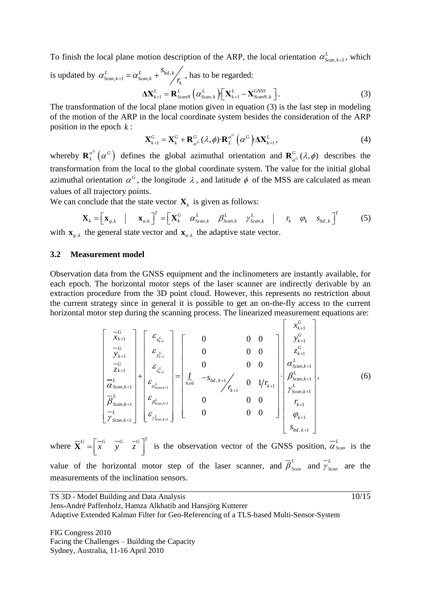To finish the local plane motion description of the ARP, the local orientation  $\alpha_{Scan,k+1}^L$ , which

is updated by  $\alpha_{\text{Scan},k+1}^L = \alpha_{\text{Scan},k}^L + \frac{S_{\text{ld},k}}{r_k}$ *s*  $\alpha_{\textit{Scan},k+1}^L = \alpha_{\textit{Scan},k}^L + \frac{S_{\textit{hd},k}}{r_k}$ , has to be regarded:

$$
\Delta \mathbf{X}_{k+1}^{L} = \mathbf{R}_{ScanN}^{L} \left( \alpha_{Scan,k}^{L} \right) \left[ \mathbf{X}_{k+1}^{L} - \mathbf{X}_{ScanN,k}^{GNSS} \right]. \tag{3}
$$

The transformation of the local plane motion given in equation (3) is the last step in modeling of the motion of the ARP in the local coordinate system besides the consideration of the ARP position in the epoch *k* :

$$
\mathbf{X}_{k+1}^G = \mathbf{X}_k^G + \mathbf{R}_{\alpha^G}^G(\lambda, \phi) \cdot \mathbf{R}_L^{\alpha^G}(\alpha^G) \cdot \Delta \mathbf{X}_{k+1}^L,
$$
\n(4)

whereby  $\mathbf{R}_{L}^{\alpha^{G}}(\alpha^{G})$  $\mathbf{R}_{L}^{\alpha}$  ( $\alpha^{G}$ ) defines the global azimuthal orientation and  $\mathbf{R}_{\alpha}^{G}(\lambda,\phi)$  describes the transformation from the local to the global coordinate system. The value for the initial global azimuthal orientation  $\alpha^G$ , the longitude  $\lambda$ , and latitude  $\phi$  of the MSS are calculated as mean values of all trajectory points.

values of all trajectory points.  
We can conclude that the state vector 
$$
\mathbf{X}_k
$$
 is given as follows:  

$$
\mathbf{X}_k = \begin{bmatrix} \mathbf{x}_{s,k} & | & \mathbf{x}_{a,k} \end{bmatrix}^T = \begin{bmatrix} \mathbf{X}_k^G & \alpha_{\text{Scan},k}^L & \beta_{\text{Scan},k}^L & \gamma_{\text{Scan},k}^L & | & r_k & \varphi_k & s_{\text{hd},k} \end{bmatrix}^T
$$
(5)

with  $\mathbf{x}_{g,k}$  the general state vector and  $\mathbf{x}_{a,k}$  the adaptive state vector.

#### **3.2 Measurement model**

Observation data from the GNSS equipment and the inclinometers are instantly available, for each epoch. The horizontal motor steps of the laser scanner are indirectly derivable by an extraction procedure from the 3D point cloud. However, this represents no restriction about the current strategy since in general it is possible to get an on-the-fly access to the current -fly access to the c<br>asurement equation<br> $\begin{bmatrix} x_{k+1}^G \end{bmatrix}$ 

horizontal motor step during the scanning process. The linearized measurement equations are:  
\n
$$
\begin{bmatrix}\n-\frac{C}{k+1} \\
-\frac{C}{k+1} \\
-\frac{C}{k+1} \\
-\frac{C}{k+1} \\
\frac{C}{k} \\
\frac{C}{k+1} \\
\frac{C}{k} \\
\frac{C}{k+1} \\
\frac{D}{k} \\
\frac{D}{k} \\
\frac{D}{k} \\
\frac{E}{k+1} \\
\frac{E}{k} \\
\frac{E}{k+1} \\
\frac{E}{k} \\
\frac{E}{k} \\
\frac{E}{k} \\
\frac{E}{k} \\
\frac{E}{k} \\
\frac{E}{k} \\
\frac{E}{k} \\
\frac{E}{k} \\
\frac{E}{k} \\
\frac{E}{k} \\
\frac{E}{k} \\
\frac{E}{k} \\
\frac{E}{k} \\
\frac{E}{k} \\
\frac{E}{k} \\
\frac{E}{k} \\
\frac{E}{k} \\
\frac{E}{k} \\
\frac{E}{k} \\
\frac{E}{k} \\
\frac{E}{k} \\
\frac{E}{k} \\
\frac{E}{k} \\
\frac{E}{k} \\
\frac{E}{k} \\
\frac{E}{k} \\
\frac{E}{k} \\
\frac{E}{k} \\
\frac{E}{k} \\
\frac{E}{k} \\
\frac{E}{k} \\
\frac{E}{k} \\
\frac{E}{k} \\
\frac{E}{k} \\
\frac{E}{k} \\
\frac{E}{k} \\
\frac{E}{k} \\
\frac{E}{k} \\
\frac{E}{k} \\
\frac{E}{k} \\
\frac{E}{k} \\
\frac{E}{k} \\
\frac{E}{k} \\
\frac{E}{k} \\
\frac{E}{k} \\
\frac{E}{k} \\
\frac{E}{k} \\
\frac{E}{k} \\
\frac{E}{k} \\
\frac{E}{k} \\
\frac{E}{k} \\
\frac{E}{k} \\
\frac{E}{k} \\
\frac{E}{k} \\
\frac{E}{k} \\
\frac{E}{k} \\
\frac{E}{k} \\
\frac{E}{k} \\
\frac{E}{k} \\
\frac{E}{k} \\
\frac{E}{k} \\
\frac{E}{k} \\
\frac{E}{k} \\
\frac{E}{k} \\
\frac{E}{k} \\
\frac{E}{k} \\
\frac{E}{k} \\
\frac{E}{k} \\
\frac{E}{k} \\
\frac{E}{k} \\
\frac{E}{k} \\
\frac{E}{k} \\
\frac{E}{k} \\
\frac{E}{k} \\
\frac{E}{k} \\
\frac{E}{k}
$$

where  $\overline{\mathbf{X}}^G = \begin{bmatrix} -G & -G & -G \\ x & y & z \end{bmatrix}^T$  is the observation vector of the GNSS position,  $\overline{\alpha}_s^L$  $\alpha_{\text{Scan}}$  is the value of the horizontal motor step of the laser scanner, and  $\overline{\beta}_{s_{can}}^L$  and  $\overline{\gamma}_s^L$  $\gamma_{Scan}$  are the measurements of the inclination sensors.

TS 3D - Model Building and Data Analysis

10/15

Jens-André Paffenholz, Hamza Alkhatib and Hansjörg Kutterer Adaptive Extended Kalman Filter for Geo-Referencing of a TLS-based Multi-Sensor-System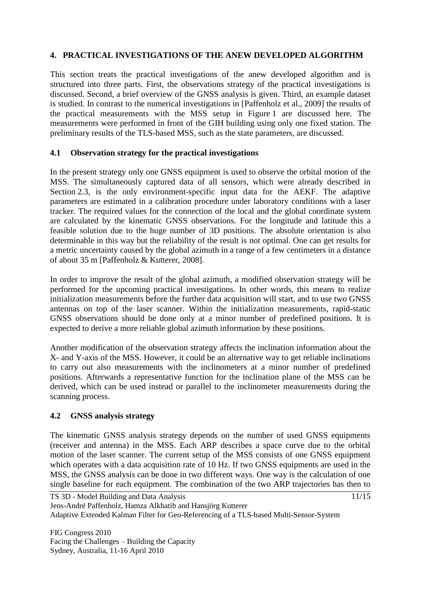## <span id="page-10-0"></span>**4. PRACTICAL INVESTIGATIONS OF THE ANEW DEVELOPED ALGORITHM**

This section treats the practical investigations of the anew developed algorithm and is structured into three parts. First, the observations strategy of the practical investigations is discussed. Second, a brief overview of the GNSS analysis is given. Third, an example dataset is studied. In contrast to the numerical investigations in [Paffenholz et al., 2009] the results of the practical measurements with the MSS setup in Figure 1 are discussed here. The measurements were performed in front of the GIH building using only one fixed station. The preliminary results of the TLS-based MSS, such as the state parameters, are discussed.

### **4.1 Observation strategy for the practical investigations**

In the present strategy only one GNSS equipment is used to observe the orbital motion of the MSS. The simultaneously captured data of all sensors, which were already described in Section [2.3,](#page-6-0) is the only environment-specific input data for the AEKF. The adaptive parameters are estimated in a calibration procedure under laboratory conditions with a laser tracker. The required values for the connection of the local and the global coordinate system are calculated by the kinematic GNSS observations. For the longitude and latitude this a feasible solution due to the huge number of 3D positions. The absolute orientation is also determinable in this way but the reliability of the result is not optimal. One can get results for a metric uncertainty caused by the global azimuth in a range of a few centimeters in a distance of about 35 m [Paffenholz & Kutterer, 2008].

In order to improve the result of the global azimuth, a modified observation strategy will be performed for the upcoming practical investigations. In other words, this means to realize initialization measurements before the further data acquisition will start, and to use two GNSS antennas on top of the laser scanner. Within the initialization measurements, rapid-static GNSS observations should be done only at a minor number of predefined positions. It is expected to derive a more reliable global azimuth information by these positions.

Another modification of the observation strategy affects the inclination information about the X- and Y-axis of the MSS. However, it could be an alternative way to get reliable inclinations to carry out also measurements with the inclinometers at a minor number of predefined positions. Afterwards a representative function for the inclination plane of the MSS can be derived, which can be used instead or parallel to the inclinometer measurements during the scanning process.

## **4.2 GNSS analysis strategy**

The kinematic GNSS analysis strategy depends on the number of used GNSS equipments (receiver and antenna) in the MSS. Each ARP describes a space curve due to the orbital motion of the laser scanner. The current setup of the MSS consists of one GNSS equipment which operates with a data acquisition rate of 10 Hz. If two GNSS equipments are used in the MSS, the GNSS analysis can be done in two different ways. One way is the calculation of one single baseline for each equipment. The combination of the two ARP trajectories has then to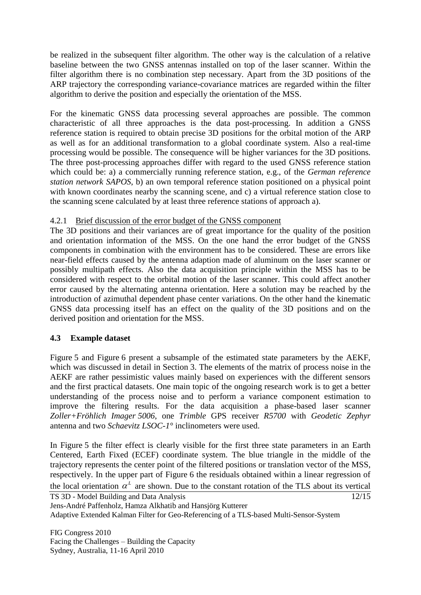be realized in the subsequent filter algorithm. The other way is the calculation of a relative baseline between the two GNSS antennas installed on top of the laser scanner. Within the filter algorithm there is no combination step necessary. Apart from the 3D positions of the ARP trajectory the corresponding variance-covariance matrices are regarded within the filter algorithm to derive the position and especially the orientation of the MSS.

For the kinematic GNSS data processing several approaches are possible. The common characteristic of all three approaches is the data post-processing. In addition a GNSS reference station is required to obtain precise 3D positions for the orbital motion of the ARP as well as for an additional transformation to a global coordinate system. Also a real-time processing would be possible. The consequence will be higher variances for the 3D positions. The three post-processing approaches differ with regard to the used GNSS reference station which could be: a) a commercially running reference station, e.g., of the *German reference station network SAPOS*, b) an own temporal reference station positioned on a physical point with known coordinates nearby the scanning scene, and c) a virtual reference station close to the scanning scene calculated by at least three reference stations of approach a).

### 4.2.1 Brief discussion of the error budget of the GNSS component

The 3D positions and their variances are of great importance for the quality of the position and orientation information of the MSS. On the one hand the error budget of the GNSS components in combination with the environment has to be considered. These are errors like near-field effects caused by the antenna adaption made of aluminum on the laser scanner or possibly multipath effects. Also the data acquisition principle within the MSS has to be considered with respect to the orbital motion of the laser scanner. This could affect another error caused by the alternating antenna orientation. Here a solution may be reached by the introduction of azimuthal dependent phase center variations. On the other hand the kinematic GNSS data processing itself has an effect on the quality of the 3D positions and on the derived position and orientation for the MSS.

## **4.3 Example dataset**

Figure 5 and Figure 6 present a subsample of the estimated state parameters by the AEKF, which was discussed in detail in Section [3.](#page-7-0) The elements of the matrix of process noise in the AEKF are rather pessimistic values mainly based on experiences with the different sensors and the first practical datasets. One main topic of the ongoing research work is to get a better understanding of the process noise and to perform a variance component estimation to improve the filtering results. For the data acquisition a phase-based laser scanner *Zoller+Fröhlich Imager 5006*, one *Trimble* GPS receiver *R5700* with *Geodetic Zephyr* antenna and two *Schaevitz LSOC-1°* inclinometers were used.

In Figure 5 the filter effect is clearly visible for the first three state parameters in an Earth Centered, Earth Fixed (ECEF) coordinate system. The blue triangle in the middle of the trajectory represents the center point of the filtered positions or translation vector of the MSS, respectively. In the upper part of Figure 6 the residuals obtained within a linear regression of the local orientation  $\alpha^L$  are shown. Due to the constant rotation of the TLS about its vertical

TS 3D - Model Building and Data Analysis Jens-André Paffenholz, Hamza Alkhatib and Hansjörg Kutterer Adaptive Extended Kalman Filter for Geo-Referencing of a TLS-based Multi-Sensor-System 12/15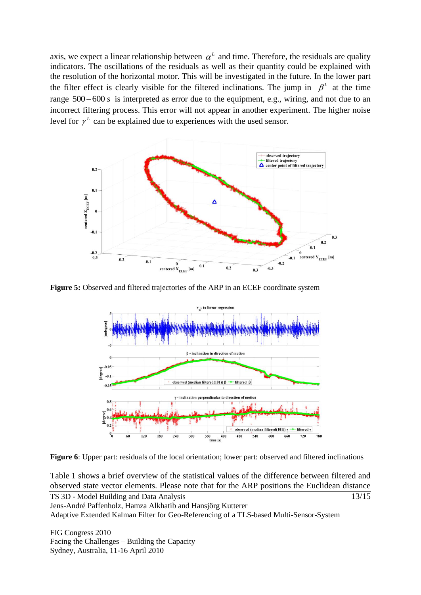axis, we expect a linear relationship between  $\alpha^L$  and time. Therefore, the residuals are quality indicators. The oscillations of the residuals as well as their quantity could be explained with the resolution of the horizontal motor. This will be investigated in the future. In the lower part the filter effect is clearly visible for the filtered inclinations. The jump in  $\beta^L$  at the time range  $500 - 600 s$  is interpreted as error due to the equipment, e.g., wiring, and not due to an incorrect filtering process. This error will not appear in another experiment. The higher noise level for  $\gamma^L$  can be explained due to experiences with the used sensor.



**Figure 5:** Observed and filtered trajectories of the ARP in an ECEF coordinate system



Figure 6: Upper part: residuals of the local orientation; lower part: observed and filtered inclinations

13/15 Table 1 shows a brief overview of the statistical values of the difference between filtered and observed state vector elements. Please note that for the ARP positions the Euclidean distance

TS 3D - Model Building and Data Analysis Jens-André Paffenholz, Hamza Alkhatib and Hansjörg Kutterer Adaptive Extended Kalman Filter for Geo-Referencing of a TLS-based Multi-Sensor-System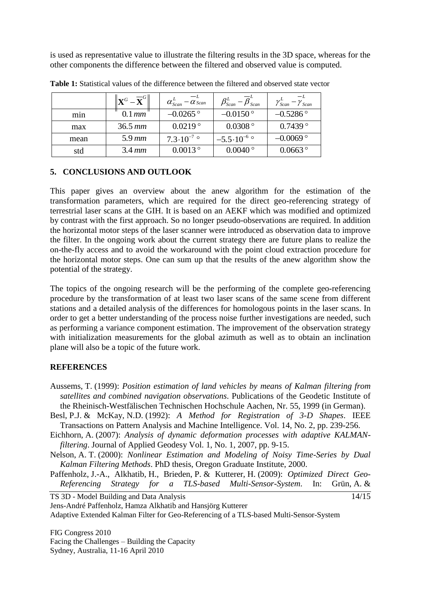is used as representative value to illustrate the filtering results in the 3D space, whereas for the other components the difference between the filtered and observed value is computed.

|      | $\left\Vert \mathbf{X}^{G}-\overline{\mathbf{X}}^{G}\right\Vert$ | $-\overline{\alpha}_{Scan}^{L}$<br>$\alpha_{\text{Scan}}^L$ | $\overline{\beta}_{Scan}^L$<br>$\beta_{\textit{Scan}}^{L}$ | $\gamma_{Scan}^L$<br>$v_{Scan}$ |
|------|------------------------------------------------------------------|-------------------------------------------------------------|------------------------------------------------------------|---------------------------------|
| min  | $0.1$ mm                                                         | $-0.0265$ °                                                 | $-0.0150$ °                                                | $-0.5286$ °                     |
| max  | $36.5 \, \text{mm}$                                              | 0.0219°                                                     | $0.0308$ °                                                 | 0.7439°                         |
| mean | $5.9 \, \text{mm}$                                               | $7.3 \cdot 10^{-7}$ °                                       | $-5.5 \cdot 10^{-6}$                                       | $-0.0069$ °                     |
| std  | $3.4 \, mm$                                                      | $0.0013^{\circ}$                                            | $0.0040^{\circ}$                                           | $0.0663$ °                      |

**Table 1:** Statistical values of the difference between the filtered and observed state vector

### <span id="page-13-0"></span>**5. CONCLUSIONS AND OUTLOOK**

This paper gives an overview about the anew algorithm for the estimation of the transformation parameters, which are required for the direct geo-referencing strategy of terrestrial laser scans at the GIH. It is based on an AEKF which was modified and optimized by contrast with the first approach. So no longer pseudo-observations are required. In addition the horizontal motor steps of the laser scanner were introduced as observation data to improve the filter. In the ongoing work about the current strategy there are future plans to realize the on-the-fly access and to avoid the workaround with the point cloud extraction procedure for the horizontal motor steps. One can sum up that the results of the anew algorithm show the potential of the strategy.

The topics of the ongoing research will be the performing of the complete geo-referencing procedure by the transformation of at least two laser scans of the same scene from different stations and a detailed analysis of the differences for homologous points in the laser scans. In order to get a better understanding of the process noise further investigations are needed, such as performing a variance component estimation. The improvement of the observation strategy with initialization measurements for the global azimuth as well as to obtain an inclination plane will also be a topic of the future work.

### **REFERENCES**

- Aussems, T. (1999): *Position estimation of land vehicles by means of Kalman filtering from satellites and combined navigation observations*. Publications of the Geodetic Institute of the Rheinisch-Westfälischen Technischen Hochschule Aachen, Nr. 55, 1999 (in German).
- Besl, P.J. & McKay, N.D. (1992): *A Method for Registration of 3-D Shapes*. IEEE Transactions on Pattern Analysis and Machine Intelligence. Vol. 14, No. 2, pp. 239-256.
- Eichhorn, A. (2007): *Analysis of dynamic deformation processes with adaptive KALMANfiltering*. Journal of Applied Geodesy Vol. 1, No. 1, 2007, pp. 9-15.
- Nelson, A. T. (2000): *Nonlinear Estimation and Modeling of Noisy Time-Series by Dual Kalman Filtering Methods*. PhD thesis, Oregon Graduate Institute, 2000.
- Paffenholz, J.-A., Alkhatib, H., Brieden, P. & Kutterer, H. (2009): *Optimized Direct Geo-Referencing Strategy for a TLS-based Multi-Sensor-System*. In: Grün, A. &

 $\frac{14}{15}$ 

TS 3D - Model Building and Data Analysis

Jens-André Paffenholz, Hamza Alkhatib and Hansjörg Kutterer

Adaptive Extended Kalman Filter for Geo-Referencing of a TLS-based Multi-Sensor-System